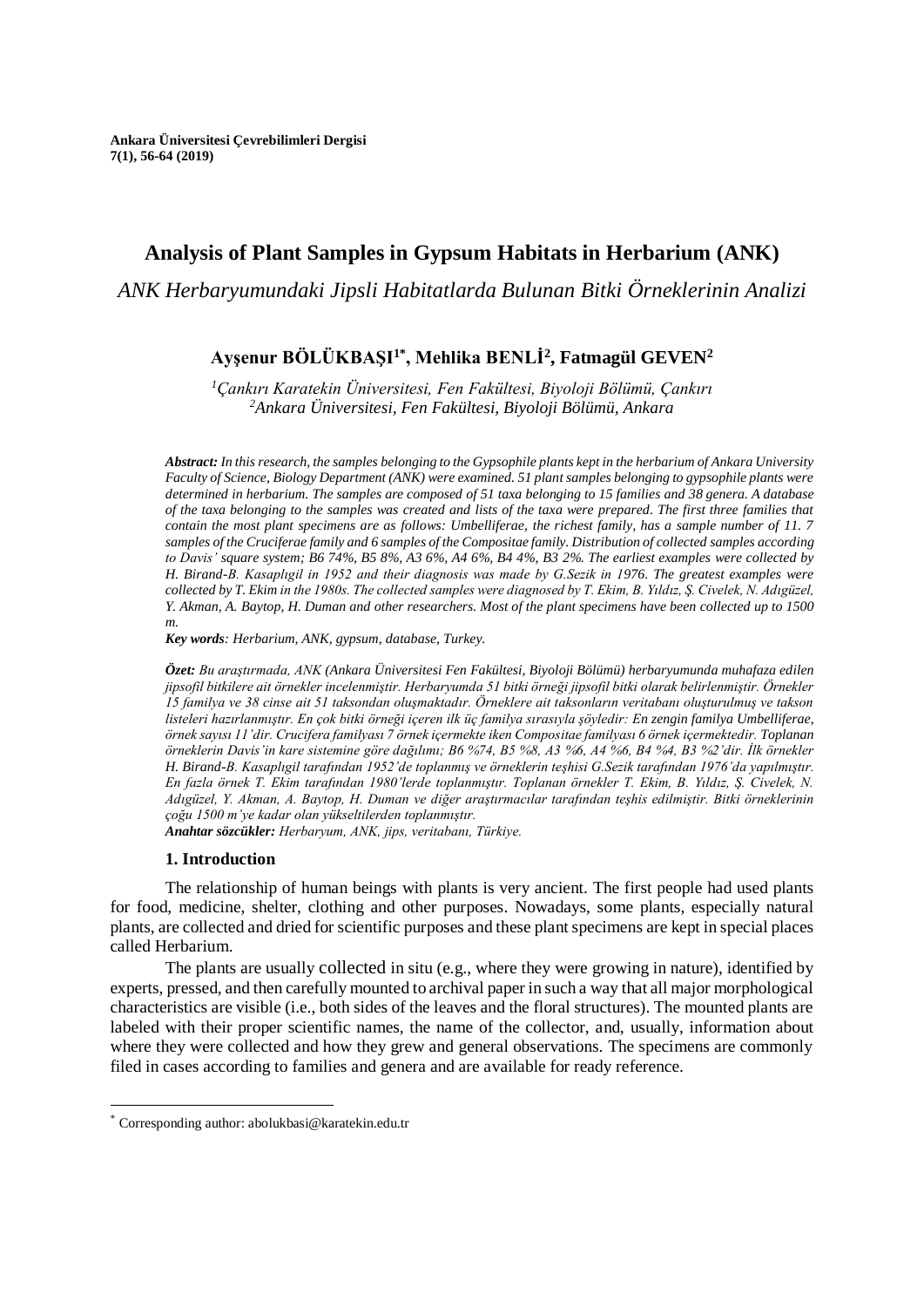# **Analysis of Plant Samples in Gypsum Habitats in Herbarium (ANK)**

*ANK Herbaryumundaki Jipsli Habitatlarda Bulunan Bitki Örneklerinin Analizi*

## **Ayşenur BÖLÜKBAŞI1\* , Mehlika BENLİ<sup>2</sup> , Fatmagül GEVEN<sup>2</sup>**

*<sup>1</sup>Çankırı Karatekin Üniversitesi, Fen Fakültesi, Biyoloji Bölümü, Çankırı <sup>2</sup>Ankara Üniversitesi, Fen Fakültesi, Biyoloji Bölümü, Ankara*

*Abstract: In this research, the samples belonging to the Gypsophile plants kept in the herbarium of Ankara University Faculty of Science, Biology Department (ANK) were examined. 51 plant samples belonging to gypsophile plants were determined in herbarium. The samples are composed of 51 taxa belonging to 15 families and 38 genera. A database of the taxa belonging to the samples was created and lists of the taxa were prepared. The first three families that contain the most plant specimens are as follows: Umbelliferae, the richest family, has a sample number of 11. 7 samples of the Cruciferae family and 6 samples of the Compositae family. Distribution of collected samples according to Davis' square system; B6 74%, B5 8%, A3 6%, A4 6%, B4 4%, B3 2%. The earliest examples were collected by H. Birand-B. Kasaplıgil in 1952 and their diagnosis was made by G.Sezik in 1976. The greatest examples were collected by T. Ekim in the 1980s. The collected samples were diagnosed by T. Ekim, B. Yıldız, Ş. Civelek, N. Adıgüzel, Y. Akman, A. Baytop, H. Duman and other researchers. Most of the plant specimens have been collected up to 1500 m.*

*Key words: Herbarium, ANK, gypsum, database, Turkey.*

*Özet: Bu araştırmada, ANK (Ankara Üniversitesi Fen Fakültesi, Biyoloji Bölümü) herbaryumunda muhafaza edilen jipsofil bitkilere ait örnekler incelenmiştir. Herbaryumda 51 bitki örneği jipsofil bitki olarak belirlenmiştir. Örnekler 15 familya ve 38 cinse ait 51 taksondan oluşmaktadır. Örneklere ait taksonların veritabanı oluşturulmuş ve takson listeleri hazırlanmıştır. En çok bitki örneği içeren ilk üç familya sırasıyla şöyledir: En zengin familya Umbelliferae, örnek sayısı 11'dir. Crucifera familyası 7 örnek içermekte iken Compositae familyası 6 örnek içermektedir. Toplanan örneklerin Davis'in kare sistemine göre dağılımı; B6 %74, B5 %8, A3 %6, A4 %6, B4 %4, B3 %2'dir. İlk örnekler H. Birand-B. Kasaplıgil tarafından 1952'de toplanmış ve örneklerin teşhisi G.Sezik tarafından 1976'da yapılmıştır. En fazla örnek T. Ekim tarafından 1980'lerde toplanmıştır. Toplanan örnekler T. Ekim, B. Yıldız, Ş. Civelek, N. Adıgüzel, Y. Akman, A. Baytop, H. Duman ve diğer araştırmacılar tarafından teşhis edilmiştir. Bitki örneklerinin çoğu 1500 m'ye kadar olan yükseltilerden toplanmıştır. Anahtar sözcükler: Herbaryum, ANK, jips, veritabanı, Türkiye.*

### **1. Introduction**

The relationship of human beings with plants is very ancient. The first people had used plants for food, medicine, shelter, clothing and other purposes. Nowadays, some plants, especially natural plants, are collected and dried for scientific purposes and these plant specimens are kept in special places called Herbarium.

The plants are usually [collected](https://www.britannica.com/science/botany) in situ (e.g., where they were growing in nature), identified by experts, pressed, and then carefully mounted to archival paper in such a way that all major morphological characteristics are visible (i.e., both sides of the leaves and the floral structures). The mounted plants are labeled with their proper scientific names, the name of the collector, and, usually, information about where they were collected and how they grew and general observations. The specimens are commonly filed in cases according to families and genera and are available for ready reference.

 $\overline{a}$ 

<sup>\*</sup> Corresponding author: abolukbasi@karatekin.edu.tr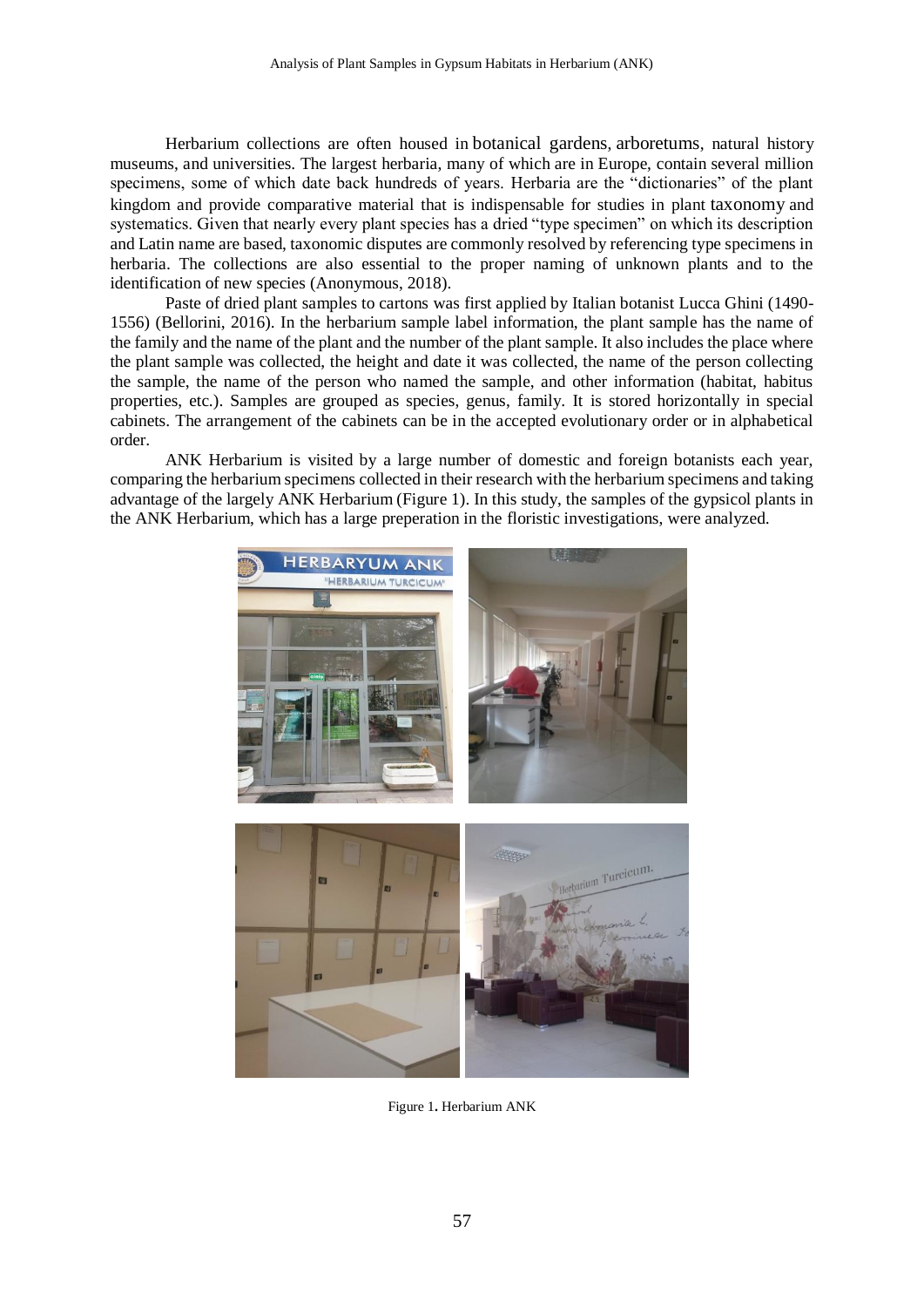Herbarium collections are often housed in [botanical gardens](https://www.britannica.com/science/botanical-garden-study-and-exhibition-garden), [arboretums](https://www.britannica.com/science/arboretum), natural history museums, and universities. The largest herbaria, many of which are in Europe, contain several million specimens, some of which date back hundreds of years. Herbaria are the "dictionaries" of the plant kingdom and provide comparative material that is indispensable for studies in plant [taxonomy](https://www.britannica.com/science/taxonomy) and systematics. Given that nearly every plant species has a dried "type specimen" on which its description and Latin name are based, taxonomic disputes are commonly resolved by referencing type specimens in herbaria. The collections are also essential to the proper naming of unknown plants and to the identification of new species (Anonymous, 2018).

Paste of dried plant samples to cartons was first applied by Italian botanist Lucca Ghini (1490- 1556) (Bellorini, 2016). In the herbarium sample label information, the plant sample has the name of the family and the name of the plant and the number of the plant sample. It also includes the place where the plant sample was collected, the height and date it was collected, the name of the person collecting the sample, the name of the person who named the sample, and other information (habitat, habitus properties, etc.). Samples are grouped as species, genus, family. It is stored horizontally in special cabinets. The arrangement of the cabinets can be in the accepted evolutionary order or in alphabetical order.

ANK Herbarium is visited by a large number of domestic and foreign botanists each year, comparing the herbarium specimens collected in their research with the herbarium specimens and taking advantage of the largely ANK Herbarium (Figure 1). In this study, the samples of the gypsicol plants in the ANK Herbarium, which has a large preperation in the floristic investigations, were analyzed.



Figure 1**.** Herbarium ANK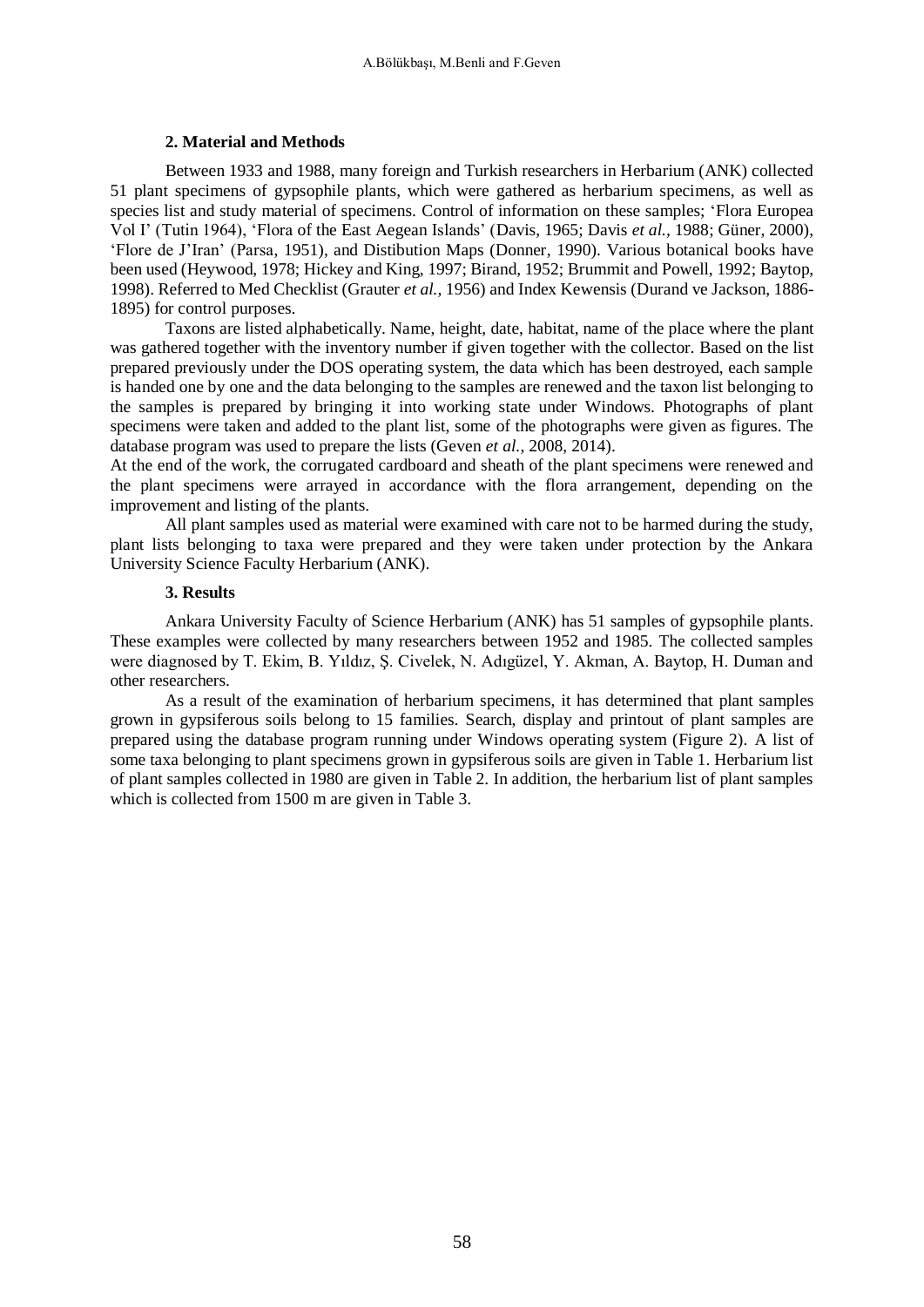### **2. Material and Methods**

Between 1933 and 1988, many foreign and Turkish researchers in Herbarium (ANK) collected 51 plant specimens of gypsophile plants, which were gathered as herbarium specimens, as well as species list and study material of specimens. Control of information on these samples; 'Flora Europea Vol I' (Tutin 1964), 'Flora of the East Aegean Islands' (Davis, 1965; Davis *et al.,* 1988; Güner, 2000), 'Flore de J'Iran' (Parsa, 1951), and Distibution Maps (Donner, 1990). Various botanical books have been used (Heywood, 1978; Hickey and King, 1997; Birand, 1952; Brummit and Powell, 1992; Baytop, 1998). Referred to Med Checklist (Grauter *et al.,* 1956) and Index Kewensis (Durand ve Jackson, 1886- 1895) for control purposes.

Taxons are listed alphabetically. Name, height, date, habitat, name of the place where the plant was gathered together with the inventory number if given together with the collector. Based on the list prepared previously under the DOS operating system, the data which has been destroyed, each sample is handed one by one and the data belonging to the samples are renewed and the taxon list belonging to the samples is prepared by bringing it into working state under Windows. Photographs of plant specimens were taken and added to the plant list, some of the photographs were given as figures. The database program was used to prepare the lists (Geven *et al.*, 2008, 2014).

At the end of the work, the corrugated cardboard and sheath of the plant specimens were renewed and the plant specimens were arrayed in accordance with the flora arrangement, depending on the improvement and listing of the plants.

All plant samples used as material were examined with care not to be harmed during the study, plant lists belonging to taxa were prepared and they were taken under protection by the Ankara University Science Faculty Herbarium (ANK).

#### **3. Results**

Ankara University Faculty of Science Herbarium (ANK) has 51 samples of gypsophile plants. These examples were collected by many researchers between 1952 and 1985. The collected samples were diagnosed by T. Ekim, B. Yıldız, Ş. Civelek, N. Adıgüzel, Y. Akman, A. Baytop, H. Duman and other researchers.

As a result of the examination of herbarium specimens, it has determined that plant samples grown in gypsiferous soils belong to 15 families. Search, display and printout of plant samples are prepared using the database program running under Windows operating system (Figure 2). A list of some taxa belonging to plant specimens grown in gypsiferous soils are given in Table 1. Herbarium list of plant samples collected in 1980 are given in Table 2. In addition, the herbarium list of plant samples which is collected from 1500 m are given in Table 3.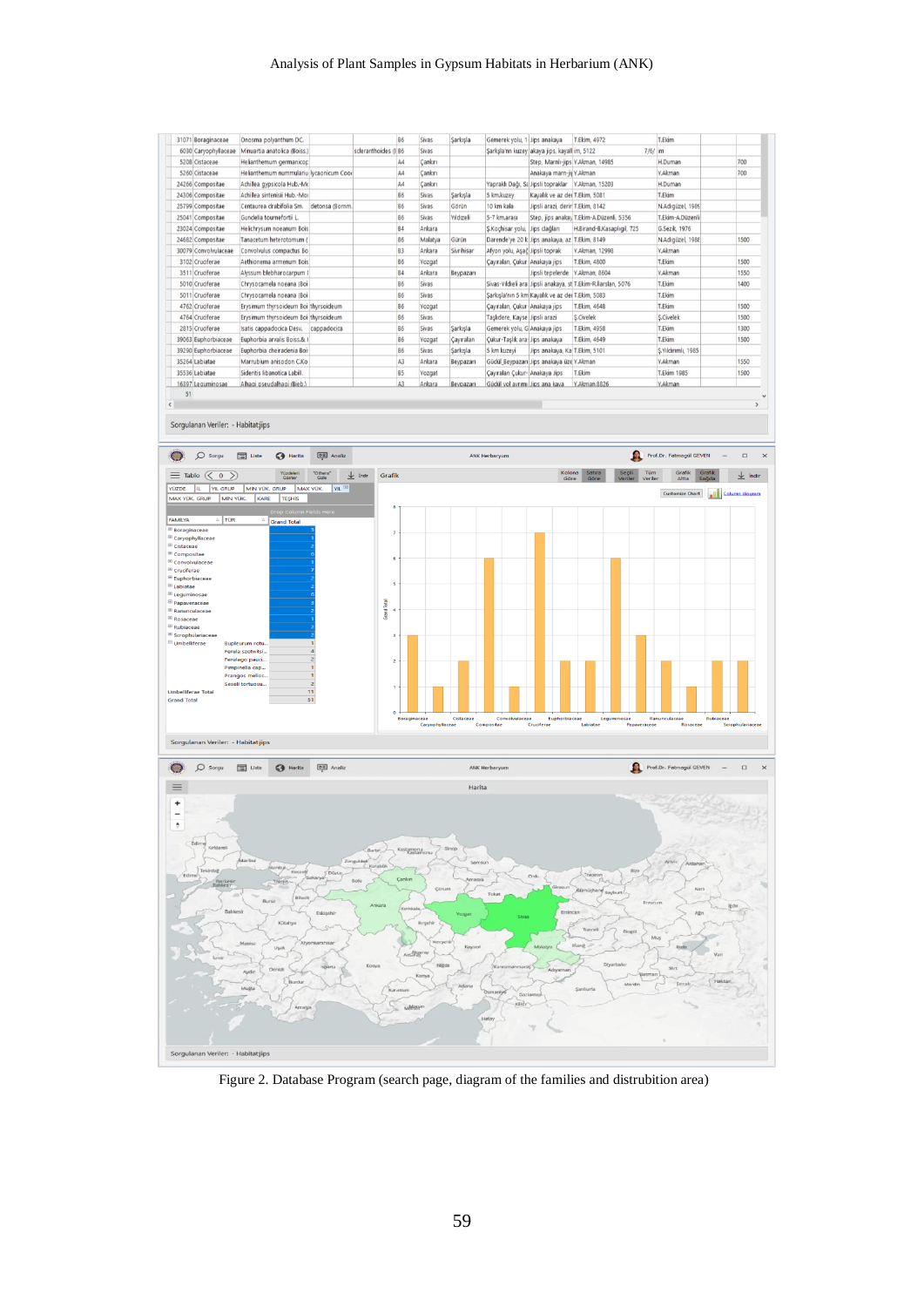#### Analysis of Plant Samples in Gypsum Habitats in Herbarium (ANK)



Figure 2. Database Program (search page, diagram of the families and distrubition area)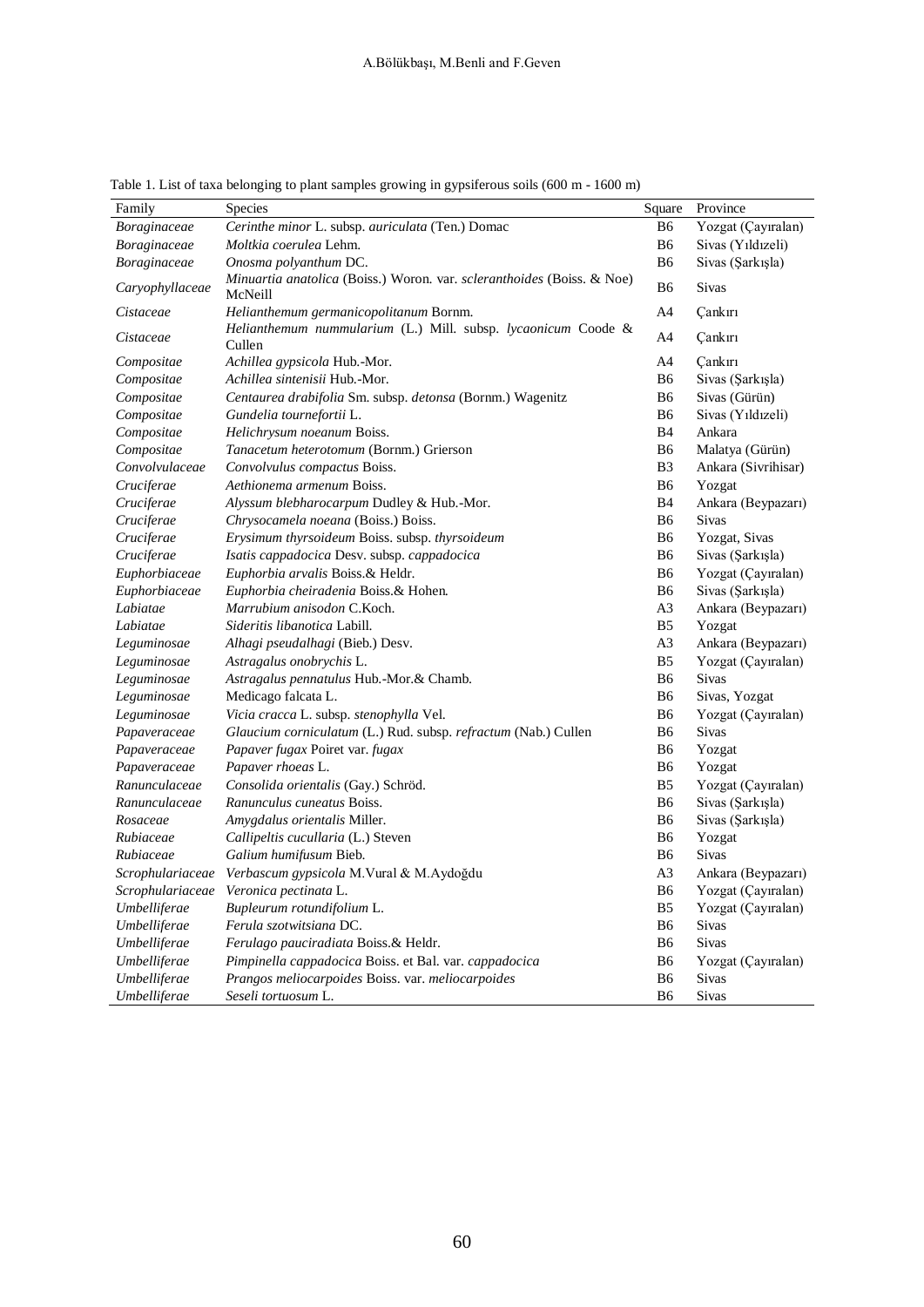| Family           | <b>Species</b>                                                                    | Square         | Province            |  |  |
|------------------|-----------------------------------------------------------------------------------|----------------|---------------------|--|--|
| Boraginaceae     | Cerinthe minor L. subsp. auriculata (Ten.) Domac                                  | <b>B6</b>      | Yozgat (Çayıralan)  |  |  |
| Boraginaceae     | Moltkia coerulea Lehm.                                                            | <b>B6</b>      | Sivas (Yıldızeli)   |  |  |
| Boraginaceae     | Onosma polyanthum DC.                                                             | B <sub>6</sub> | Sivas (Şarkışla)    |  |  |
| Caryophyllaceae  | Minuartia anatolica (Boiss.) Woron. var. scleranthoides (Boiss. & Noe)<br>McNeill | B6             | <b>Sivas</b>        |  |  |
| Cistaceae        | Helianthemum germanicopolitanum Bornm.                                            | A4             | <b>Çankırı</b>      |  |  |
| Cistaceae        | Helianthemum nummularium (L.) Mill. subsp. lycaonicum Coode &<br>Cullen           | A <sub>4</sub> | Çankırı             |  |  |
| Compositae       | Achillea gypsicola Hub.-Mor.                                                      | A4             | Cankırı             |  |  |
| Compositae       | Achillea sintenisii Hub.-Mor.                                                     | B <sub>6</sub> | Sivas (Sarkışla)    |  |  |
| Compositae       | Centaurea drabifolia Sm. subsp. detonsa (Bornm.) Wagenitz                         | B6             | Sivas (Gürün)       |  |  |
| Compositae       | Gundelia tournefortii L.                                                          | B6             | Sivas (Yıldızeli)   |  |  |
| Compositae       | Helichrysum noeanum Boiss.                                                        | <b>B</b> 4     | Ankara              |  |  |
| Compositae       | Tanacetum heterotomum (Bornm.) Grierson                                           | B6             | Malatya (Gürün)     |  |  |
| Convolvulaceae   | Convolvulus compactus Boiss.                                                      | B <sub>3</sub> | Ankara (Sivrihisar) |  |  |
| Cruciferae       | Aethionema armenum Boiss.                                                         | B6             | Yozgat              |  |  |
| Cruciferae       | Alyssum blebharocarpum Dudley & Hub.-Mor.                                         | <b>B</b> 4     | Ankara (Beypazarı)  |  |  |
| Cruciferae       | Chrysocamela noeana (Boiss.) Boiss.                                               | B <sub>6</sub> | <b>Sivas</b>        |  |  |
| Cruciferae       | Erysimum thyrsoideum Boiss. subsp. thyrsoideum                                    | B6             | Yozgat, Sivas       |  |  |
| Cruciferae       | Isatis cappadocica Desv. subsp. cappadocica                                       | B6             | Sivas (Şarkışla)    |  |  |
| Euphorbiaceae    | <i>Euphorbia arvalis</i> Boiss.& Heldr.                                           | B6             | Yozgat (Çayıralan)  |  |  |
| Euphorbiaceae    | Euphorbia cheiradenia Boiss.& Hohen.                                              | B6             | Sivas (Şarkışla)    |  |  |
| Labiatae         | Marrubium anisodon C.Koch.                                                        | A <sub>3</sub> | Ankara (Beypazarı)  |  |  |
| Labiatae         | Sideritis libanotica Labill.                                                      | B <sub>5</sub> | Yozgat              |  |  |
| Leguminosae      | Alhagi pseudalhagi (Bieb.) Desv.                                                  | A <sub>3</sub> | Ankara (Beypazarı)  |  |  |
| Leguminosae      | Astragalus onobrychis L.                                                          | B <sub>5</sub> | Yozgat (Çayıralan)  |  |  |
| Leguminosae      | Astragalus pennatulus Hub.-Mor.& Chamb.                                           | B <sub>6</sub> | Sivas               |  |  |
| Leguminosae      | Medicago falcata L.                                                               | B6             | Sivas, Yozgat       |  |  |
| Leguminosae      | Vicia cracca L. subsp. stenophylla Vel.                                           | B <sub>6</sub> | Yozgat (Çayıralan)  |  |  |
| Papaveraceae     | Glaucium corniculatum (L.) Rud. subsp. refractum (Nab.) Cullen                    | B <sub>6</sub> | Sivas               |  |  |
| Papaveraceae     | Papaver fugax Poiret var. fugax                                                   | B6             | Yozgat              |  |  |
| Papaveraceae     | Papaver rhoeas L.                                                                 | B <sub>6</sub> | Yozgat              |  |  |
| Ranunculaceae    | Consolida orientalis (Gay.) Schröd.                                               | B <sub>5</sub> | Yozgat (Çayıralan)  |  |  |
| Ranunculaceae    | Ranunculus cuneatus Boiss.                                                        | B <sub>6</sub> | Sivas (Şarkışla)    |  |  |
| Rosaceae         | Amygdalus orientalis Miller.                                                      | B <sub>6</sub> | Sivas (Şarkışla)    |  |  |
| Rubiaceae        | Callipeltis cucullaria (L.) Steven                                                | B <sub>6</sub> | Yozgat              |  |  |
| Rubiaceae        | Galium humifusum Bieb.                                                            | <b>B6</b>      | <b>Sivas</b>        |  |  |
| Scrophulariaceae | Verbascum gypsicola M.Vural & M.Aydoğdu                                           | A <sub>3</sub> | Ankara (Beypazarı)  |  |  |
| Scrophulariaceae | Veronica pectinata L.                                                             | B6             | Yozgat (Çayıralan)  |  |  |
| Umbelliferae     | Bupleurum rotundifolium L.                                                        | B <sub>5</sub> | Yozgat (Çayıralan)  |  |  |
| Umbelliferae     | Ferula szotwitsiana DC.                                                           | B <sub>6</sub> | <b>Sivas</b>        |  |  |
| Umbelliferae     | Ferulago pauciradiata Boiss.& Heldr.                                              | B <sub>6</sub> | <b>Sivas</b>        |  |  |
| Umbelliferae     | Pimpinella cappadocica Boiss. et Bal. var. cappadocica                            | B6             | Yozgat (Çayıralan)  |  |  |
| Umbelliferae     | Prangos meliocarpoides Boiss. var. meliocarpoides                                 | B <sub>6</sub> | <b>Sivas</b>        |  |  |
| Umbelliferae     | Seseli tortuosum L.                                                               | B <sub>6</sub> | <b>Sivas</b>        |  |  |

Table 1. List of taxa belonging to plant samples growing in gypsiferous soils (600 m - 1600 m)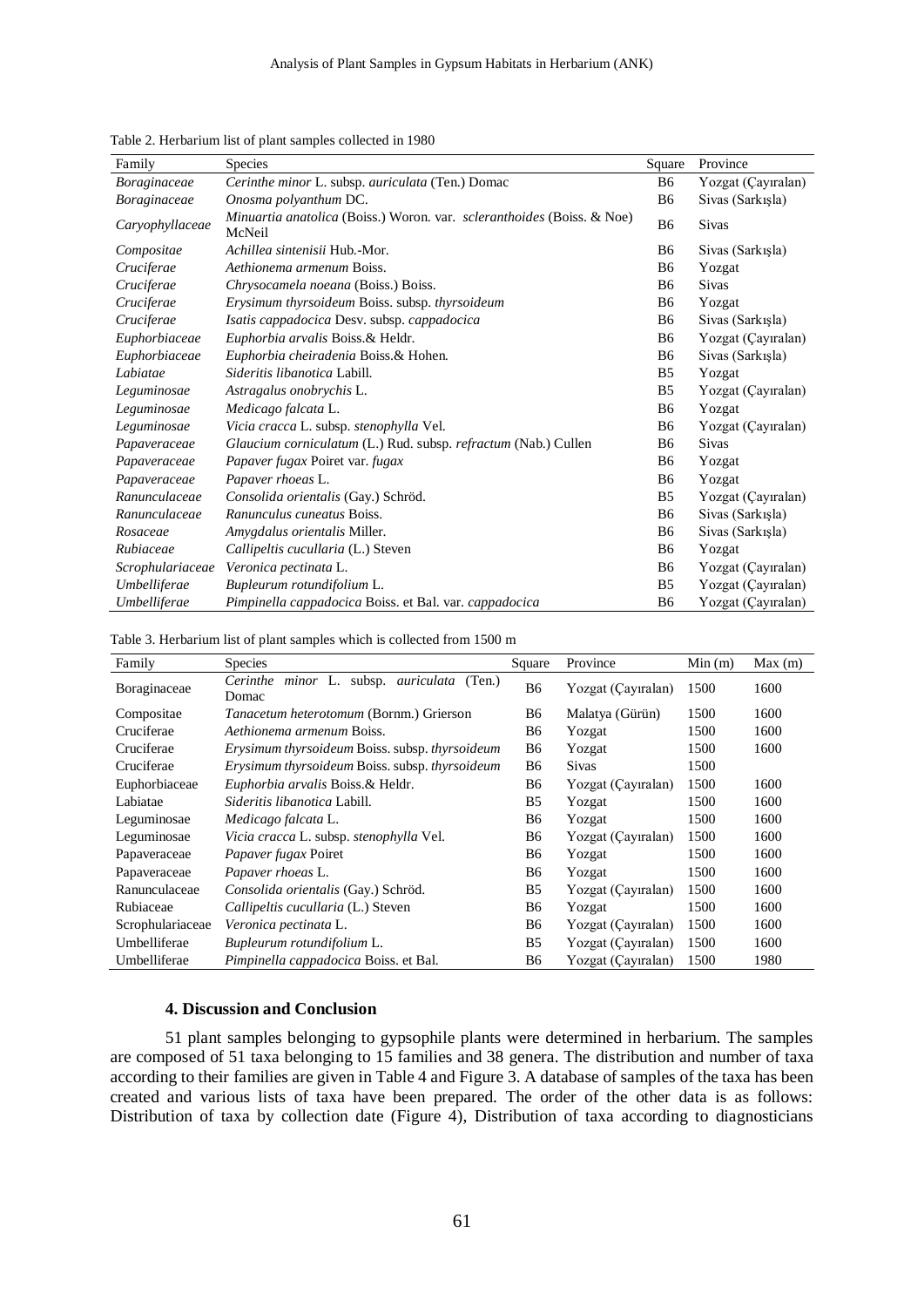| Family           | Species                                                                                        | Square         | Province           |  |
|------------------|------------------------------------------------------------------------------------------------|----------------|--------------------|--|
| Boraginaceae     | Cerinthe minor L. subsp. auriculata (Ten.) Domac                                               | <b>B6</b>      | Yozgat (Çayıralan) |  |
| Boraginaceae     | Onosma polyanthum DC.                                                                          | B <sub>6</sub> | Sivas (Sarkışla)   |  |
| Caryophyllaceae  | <i>Minuartia anatolica</i> (Boiss.) Woron. var. <i>scleranthoides</i> (Boiss. & Noe)<br>McNeil | B <sub>6</sub> | <b>Sivas</b>       |  |
| Compositae       | Achillea sintenisii Hub.-Mor.                                                                  | B <sub>6</sub> | Sivas (Sarkışla)   |  |
| Cruciferae       | Aethionema armenum Boiss.                                                                      | B6             | Yozgat             |  |
| Cruciferae       | Chrysocamela noeana (Boiss.) Boiss.                                                            | B6             | <b>Sivas</b>       |  |
| Cruciferae       | Erysimum thyrsoideum Boiss. subsp. thyrsoideum                                                 | B6             | Yozgat             |  |
| Cruciferae       | Isatis cappadocica Desv. subsp. cappadocica                                                    | B <sub>6</sub> | Sivas (Sarkışla)   |  |
| Euphorbiaceae    | Euphorbia arvalis Boiss.& Heldr.                                                               | B <sub>6</sub> | Yozgat (Çayıralan) |  |
| Euphorbiaceae    | Euphorbia cheiradenia Boiss.& Hohen.                                                           | B6             | Sivas (Sarkışla)   |  |
| Labiatae         | Sideritis libanotica Labill.                                                                   | B <sub>5</sub> | Yozgat             |  |
| Leguminosae      | Astragalus onobrychis L.                                                                       | B <sub>5</sub> | Yozgat (Cayıralan) |  |
| Leguminosae      | Medicago falcata L.                                                                            | B <sub>6</sub> | Yozgat             |  |
| Leguminosae      | <i>Vicia cracca</i> L. subsp. <i>stenophylla</i> Vel.                                          | B6             | Yozgat (Çayıralan) |  |
| Papaveraceae     | Glaucium corniculatum (L.) Rud. subsp. refractum (Nab.) Cullen                                 | B6             | <b>Sivas</b>       |  |
| Papaveraceae     | Papaver fugax Poiret var. fugax                                                                | B6             | Yozgat             |  |
| Papaveraceae     | Papaver rhoeas L.                                                                              | B6             | Yozgat             |  |
| Ranunculaceae    | Consolida orientalis (Gay.) Schröd.                                                            | B <sub>5</sub> | Yozgat (Çayıralan) |  |
| Ranunculaceae    | Ranunculus cuneatus Boiss.                                                                     | B <sub>6</sub> | Sivas (Sarkışla)   |  |
| Rosaceae         | Amygdalus orientalis Miller.                                                                   | B6             | Sivas (Sarkışla)   |  |
| Rubiaceae        | Callipeltis cucullaria (L.) Steven                                                             | B <sub>6</sub> | Yozgat             |  |
| Scrophulariaceae | Veronica pectinata L.                                                                          | B <sub>6</sub> | Yozgat (Çayıralan) |  |
| Umbelliferae     | Bupleurum rotundifolium L.                                                                     | B <sub>5</sub> | Yozgat (Cayıralan) |  |
| Umbelliferae     | Pimpinella cappadocica Boiss. et Bal. var. cappadocica                                         | B6             | Yozgat (Çayıralan) |  |

Table 2. Herbarium list of plant samples collected in 1980

Table 3. Herbarium list of plant samples which is collected from 1500 m

| Family           | <b>Species</b>                                                   | Square    | Province           | Min(m) | Max(m) |
|------------------|------------------------------------------------------------------|-----------|--------------------|--------|--------|
| Boraginaceae     | minor L. subsp. <i>auriculata</i><br>Cerinthe<br>(Ten.)<br>Domac | <b>B6</b> | Yozgat (Cayıralan) | 1500   | 1600   |
| Compositae       | <i>Tanacetum heterotomum</i> (Bornm.) Grierson                   | B6        | Malatya (Gürün)    | 1500   | 1600   |
| Cruciferae       | Aethionema armenum Boiss.                                        | B6        | Yozgat             | 1500   | 1600   |
| Cruciferae       | Erysimum thyrsoideum Boiss. subsp. thyrsoideum                   | <b>B6</b> | Yozgat             | 1500   | 1600   |
| Cruciferae       | Erysimum thyrsoideum Boiss. subsp. thyrsoideum                   | <b>B6</b> | <b>Sivas</b>       | 1500   |        |
| Euphorbiaceae    | Euphorbia arvalis Boiss.& Heldr.                                 | B6        | Yozgat (Cayıralan) | 1500   | 1600   |
| Labiatae         | <i>Sideritis libanotica</i> Labill.                              | B5        | Yozgat             | 1500   | 1600   |
| Leguminosae      | Medicago falcata L.                                              | B6        | Yozgat             | 1500   | 1600   |
| Leguminosae      | Vicia cracca L. subsp. stenophylla Vel.                          | <b>B6</b> | Yozgat (Cayıralan) | 1500   | 1600   |
| Papaveraceae     | <i>Papaver fugax Poiret</i>                                      | B6        | Yozgat             | 1500   | 1600   |
| Papaveraceae     | Papaver rhoeas L.                                                | <b>B6</b> | Yozgat             | 1500   | 1600   |
| Ranunculaceae    | Consolida orientalis (Gay.) Schröd.                              | B5        | Yozgat (Cayıralan) | 1500   | 1600   |
| Rubiaceae        | Callipeltis cucullaria (L.) Steven                               | B6        | Yozgat             | 1500   | 1600   |
| Scrophulariaceae | Veronica pectinata L.                                            | B6        | Yozgat (Cayıralan) | 1500   | 1600   |
| Umbelliferae     | Bupleurum rotundifolium L.                                       | B5        | Yozgat (Cayıralan) | 1500   | 1600   |
| Umbelliferae     | <i>Pimpinella cappadocica</i> Boiss. et Bal.                     | B6        | Yozgat (Çayıralan) | 1500   | 1980   |

#### **4. Discussion and Conclusion**

51 plant samples belonging to gypsophile plants were determined in herbarium. The samples are composed of 51 taxa belonging to 15 families and 38 genera. The distribution and number of taxa according to their families are given in Table 4 and Figure 3. A database of samples of the taxa has been created and various lists of taxa have been prepared. The order of the other data is as follows: Distribution of taxa by collection date (Figure 4), Distribution of taxa according to diagnosticians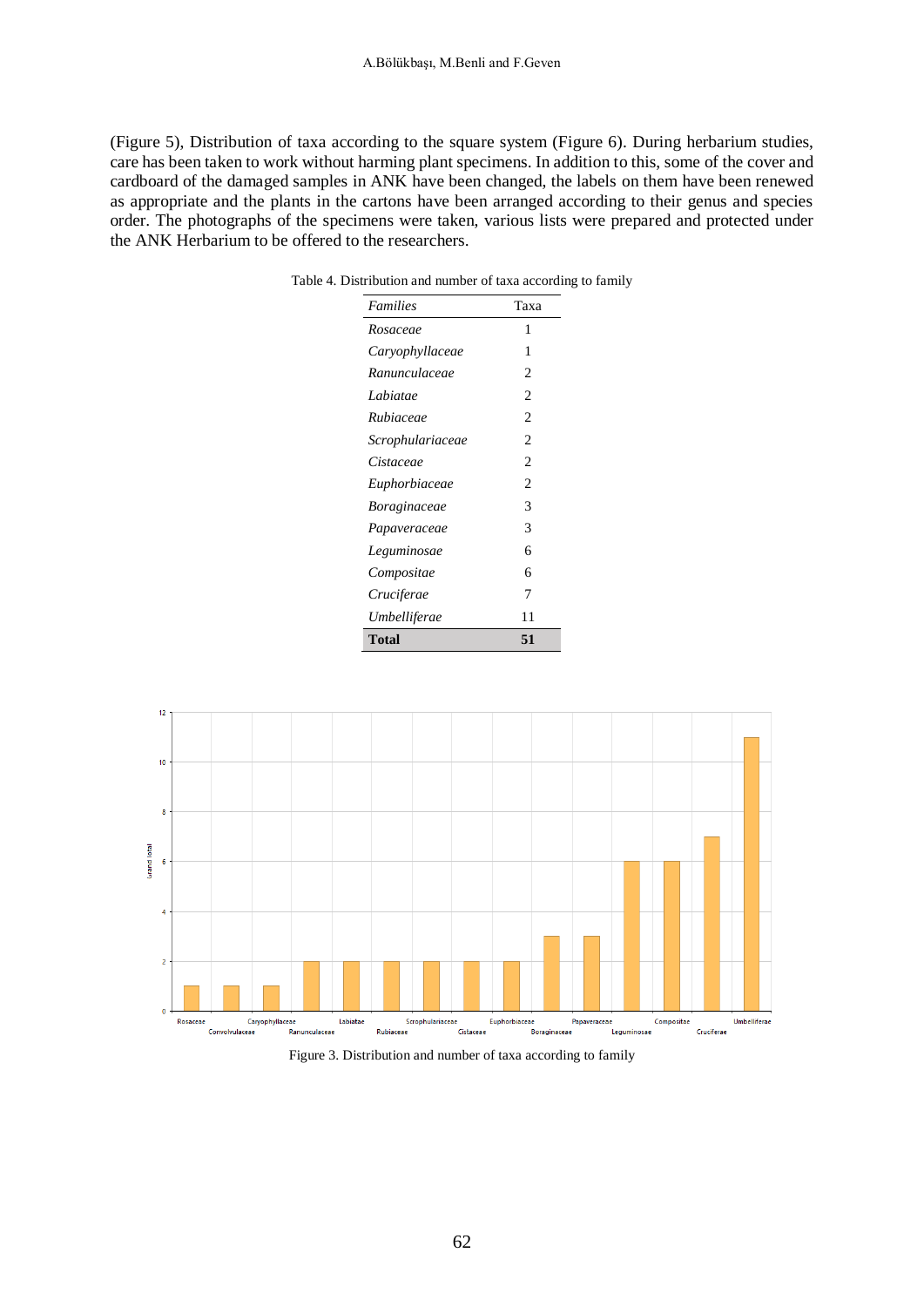(Figure 5), Distribution of taxa according to the square system (Figure 6). During herbarium studies, care has been taken to work without harming plant specimens. In addition to this, some of the cover and cardboard of the damaged samples in ANK have been changed, the labels on them have been renewed as appropriate and the plants in the cartons have been arranged according to their genus and species order. The photographs of the specimens were taken, various lists were prepared and protected under the ANK Herbarium to be offered to the researchers.

| <b>Families</b>     | Taxa           |
|---------------------|----------------|
| Rosaceae            | 1              |
| Caryophyllaceae     | 1              |
| Ranunculaceae       | 2              |
| Labiatae            | 2              |
| Rubiaceae           | $\overline{c}$ |
| Scrophulariaceae    | 2              |
| Cistaceae           | $\overline{c}$ |
| Euphorbiaceae       | 2              |
| <i>Boraginaceae</i> | 3              |
| Papaveraceae        | 3              |
| Leguminosae         | 6              |
| Compositae          | 6              |
| Cruciferae          | 7              |
| Umbelliferae        | 11             |
| Total               | 51             |

Table 4. Distribution and number of taxa according to family



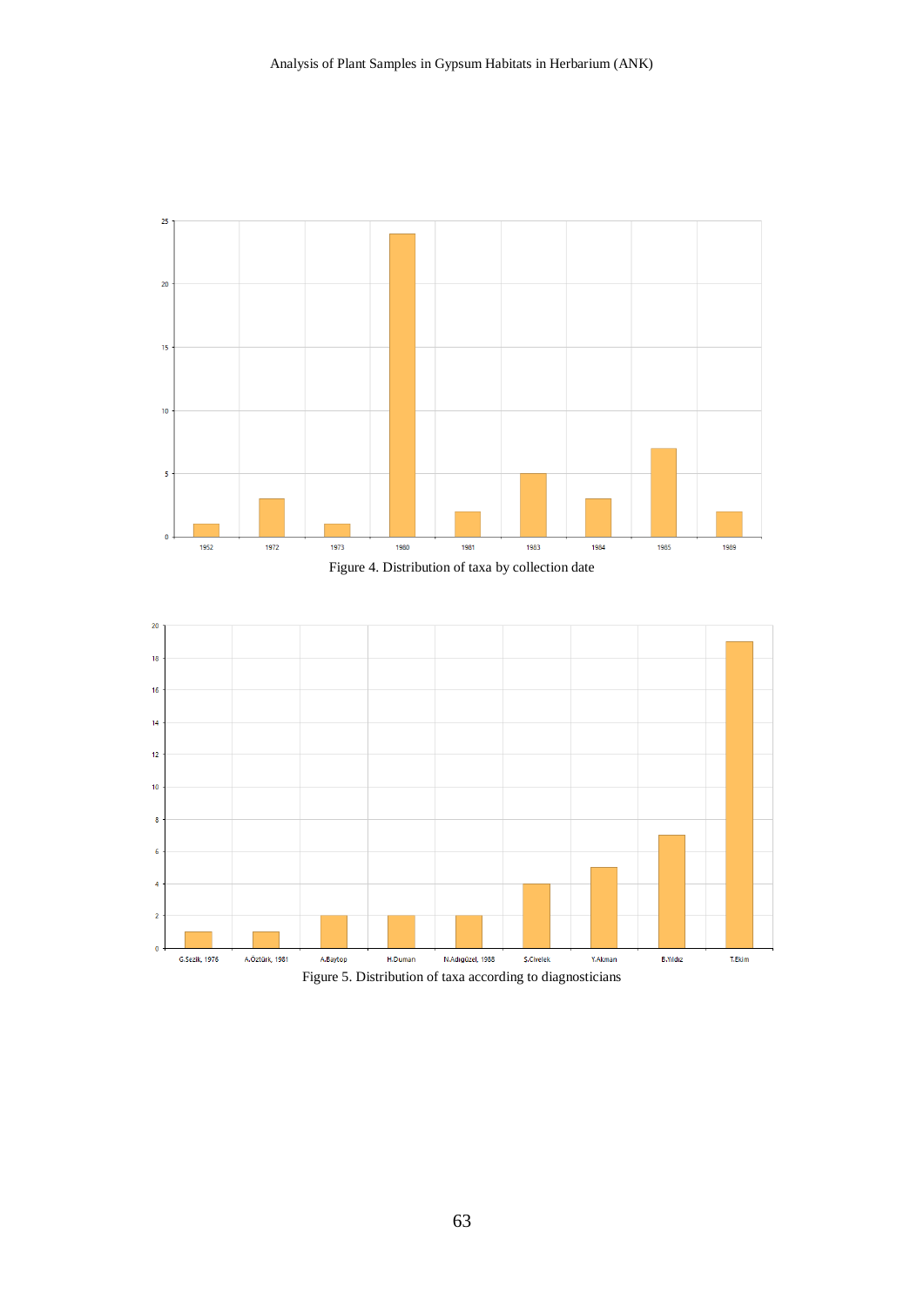